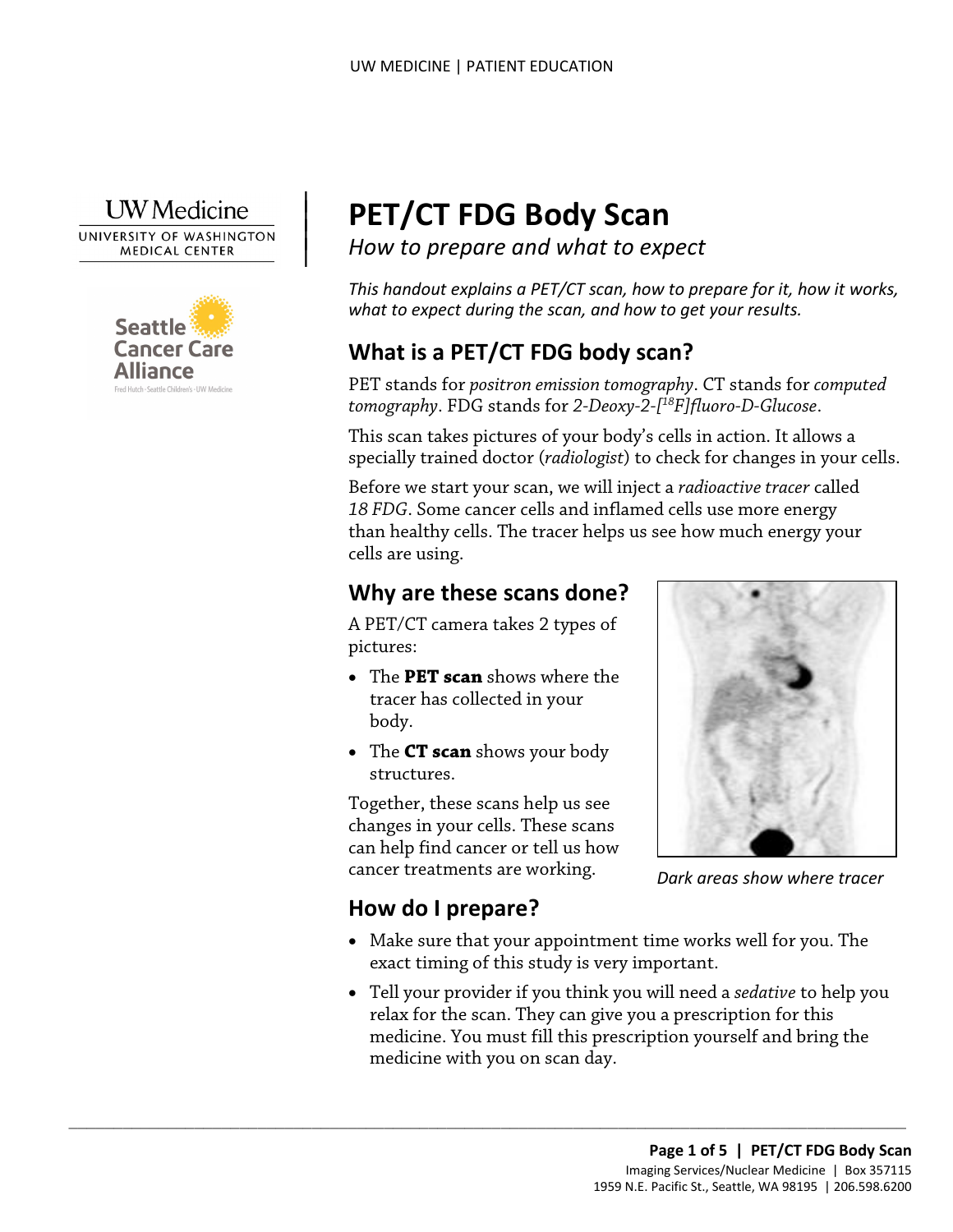

 $\overline{\phantom{a}}$  $\vert$  $\vert$  $\vert$ 



# **PET/CT FDG Body Scan**

*How to prepare and what to expect* 

*This handout explains a PET/CT scan, how to prepare for it, how it works, what to expect during the scan, and how to get your results.* 

## **What is a PET/CT FDG body scan?**

PET stands for *positron emission tomography*. CT stands for *computed tomography*. FDG stands for *2-Deoxy-2-[18F]fluoro-D-Glucose*.

 This scan takes pictures of your body's cells in action. It allows a specially trained doctor (*radiologist*) to check for changes in your cells.

specially trained doctor (*radiologist*) to check for changes in you<br>Before we start your scan, we will inject a *radioactive tracer* calle<br>18 FDG. Some cancer cells and inflamed cells use more energy<br>than healthy cells. T Before we start your scan, we will inject a *radioactive tracer* called *18 FDG*. Some cancer cells and inflamed cells use more energy than healthy cells. The tracer helps us see how much energy your cells are using.

## **Why are these scans done?**

 A PET/CT camera takes 2 types of pictures:

- The **PET scan** shows where the tracer has collected in your body.
- The **CT scan** shows your body structures.

 Together, these scans help us see changes in your cells. These scans can help find cancer or tell us how cancer treatments are working.

 $\_$  ,  $\_$  ,  $\_$  ,  $\_$  ,  $\_$  ,  $\_$  ,  $\_$  ,  $\_$  ,  $\_$  ,  $\_$  ,  $\_$  ,  $\_$  ,  $\_$  ,  $\_$  ,  $\_$  ,  $\_$  ,  $\_$  ,  $\_$  ,  $\_$  ,  $\_$  ,  $\_$  ,  $\_$  ,  $\_$  ,  $\_$  ,  $\_$  ,  $\_$  ,  $\_$  ,  $\_$  ,  $\_$  ,  $\_$  ,  $\_$  ,  $\_$  ,  $\_$  ,  $\_$  ,  $\_$  ,  $\_$  ,  $\_$  ,



*Dark areas show where tracer* 

## **How do I prepare?**

- • Make sure that your appointment time works well for you. The exact timing of this study is very important.
- Tell your provider if you think you will need a *sedative* to help you relax for the scan. They can give you a prescription for this medicine. You must fill this prescription yourself and bring the medicine with you on scan day.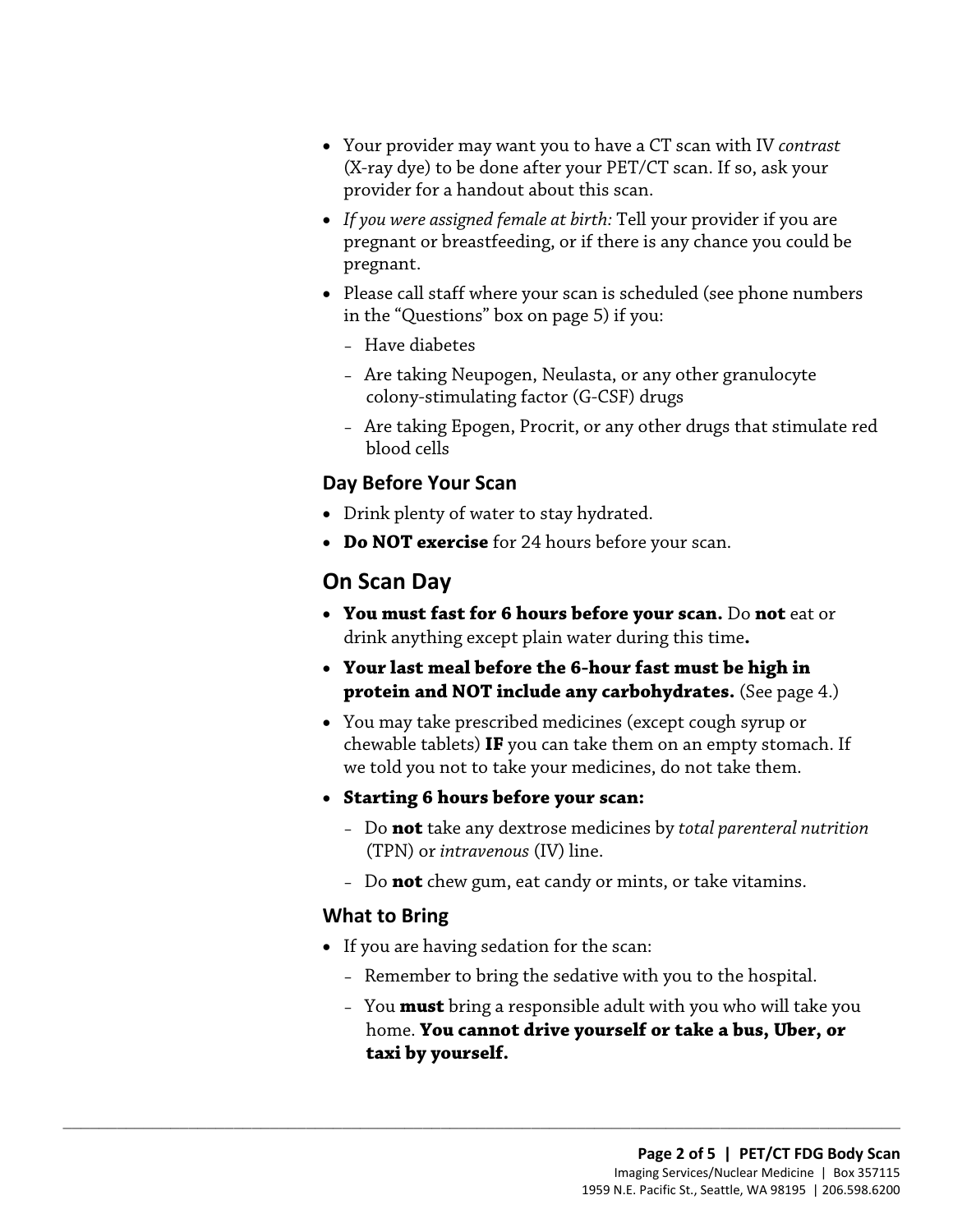- • Your provider may want you to have a CT scan with IV *contrast*  (X-ray dye) to be done after your PET/CT scan. If so, ask your provider for a handout about this scan.
- *If you were assigned female at birth:* Tell your provider if you are pregnant or breastfeeding, or if there is any chance you could be pregnant.
- in the "Questions" box on page 5) if you: • Please call staff where your scan is scheduled (see phone numbers
	- Have diabetes
	- – Are taking Neupogen, Neulasta, or any other granulocyte colony-stimulating factor (G-CSF) drugs
	- – Are taking Epogen, Procrit, or any other drugs that stimulate red blood cells

#### **Day Before Your Scan**

- Drink plenty of water to stay hydrated.
- **Do NOT exercise** for 24 hours before your scan.

## **On Scan Day**

- **You must fast for 6 hours before your scan.** Do **not** eat or Day Before Your Scan<br>
• Drink plenty of water to stay hydrated.<br>
• Do NOT exercise for 24 hours before your scan.<br>
On Scan Day<br>
• You must fast for 6 hours before your scan. Do not eat or<br>
drink anything except plain water drink anything except plain water during this time**.** 
	- **Your last meal before the 6-hour fast must be high in protein and NOT include any carbohydrates.** (See page 4.)
	- we told you not to take your medicines, do not take them. • You may take prescribed medicines (except cough syrup or chewable tablets) **IF** you can take them on an empty stomach. If
	- **Starting 6 hours before your scan:** 
		- (TPN) or *intravenous* (IV) line. – Do **not** take any dextrose medicines by *total parenteral nutrition*
		- Do **not** chew gum, eat candy or mints, or take vitamins.

#### **What to Bring**

• If you are having sedation for the scan:

 $\_$  ,  $\_$  ,  $\_$  ,  $\_$  ,  $\_$  ,  $\_$  ,  $\_$  ,  $\_$  ,  $\_$  ,  $\_$  ,  $\_$  ,  $\_$  ,  $\_$  ,  $\_$  ,  $\_$  ,  $\_$  ,  $\_$  ,  $\_$  ,  $\_$  ,  $\_$  ,  $\_$  ,  $\_$  ,  $\_$  ,  $\_$  ,  $\_$  ,  $\_$  ,  $\_$  ,  $\_$  ,  $\_$  ,  $\_$  ,  $\_$  ,  $\_$  ,  $\_$  ,  $\_$  ,  $\_$  ,  $\_$  ,  $\_$  ,

- Remember to bring the sedative with you to the hospital.
- – You **must** bring a responsible adult with you who will take you home. **You cannot drive yourself or take a bus, Uber, or taxi by yourself.**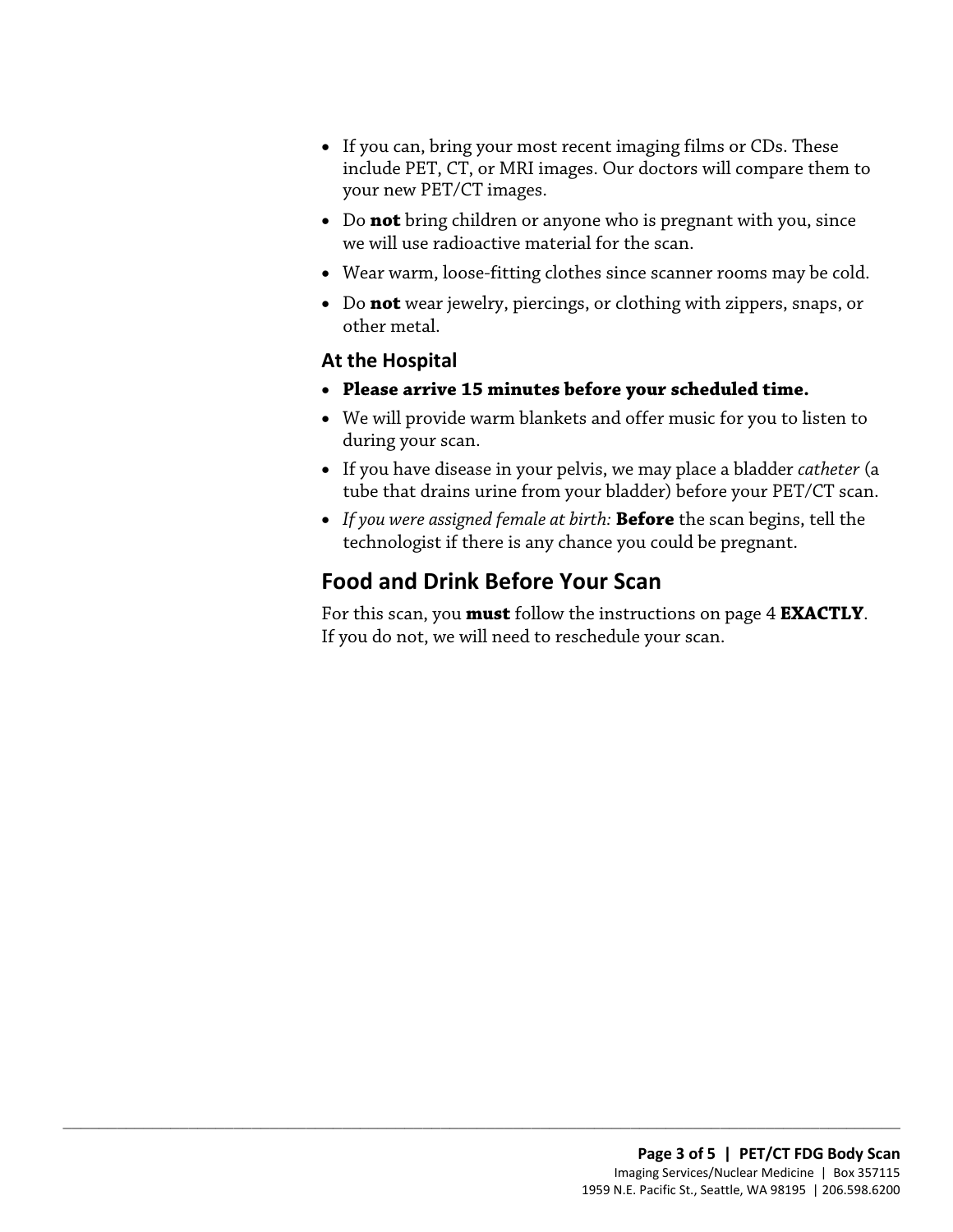- If you can, bring your most recent imaging films or CDs. These include PET, CT, or MRI images. Our doctors will compare them to your new PET/CT images.
- Do **not** bring children or anyone who is pregnant with you, since we will use radioactive material for the scan.
- Wear warm, loose-fitting clothes since scanner rooms may be cold.
- • Do **not** wear jewelry, piercings, or clothing with zippers, snaps, or other metal.

#### **At the Hospital**

- **Please arrive 15 minutes before your scheduled time.**
- We will provide warm blankets and offer music for you to listen to during your scan.
- tube that drains urine from your bladder) before your PET/CT scan. • If you have disease in your pelvis, we may place a bladder *catheter* (a
- *If you were assigned female at birth:* **Before** the scan begins, tell the technologist if there is any chance you could be pregnant.

## **Food and Drink Before Your Scan**

 $\_$  ,  $\_$  ,  $\_$  ,  $\_$  ,  $\_$  ,  $\_$  ,  $\_$  ,  $\_$  ,  $\_$  ,  $\_$  ,  $\_$  ,  $\_$  ,  $\_$  ,  $\_$  ,  $\_$  ,  $\_$  ,  $\_$  ,  $\_$  ,  $\_$  ,  $\_$  ,  $\_$  ,  $\_$  ,  $\_$  ,  $\_$  ,  $\_$  ,  $\_$  ,  $\_$  ,  $\_$  ,  $\_$  ,  $\_$  ,  $\_$  ,  $\_$  ,  $\_$  ,  $\_$  ,  $\_$  ,  $\_$  ,  $\_$  ,

• If you have disease in your pelvis, we may place a bladder *catheter* (tube that drains urine from your bladder) before your PET/CT scare<br>• If you were assigned female at birth: **Before** the scan begins, tell the techno For this scan, you **must** follow the instructions on page 4 **EXACTLY**. If you do not, we will need to reschedule your scan.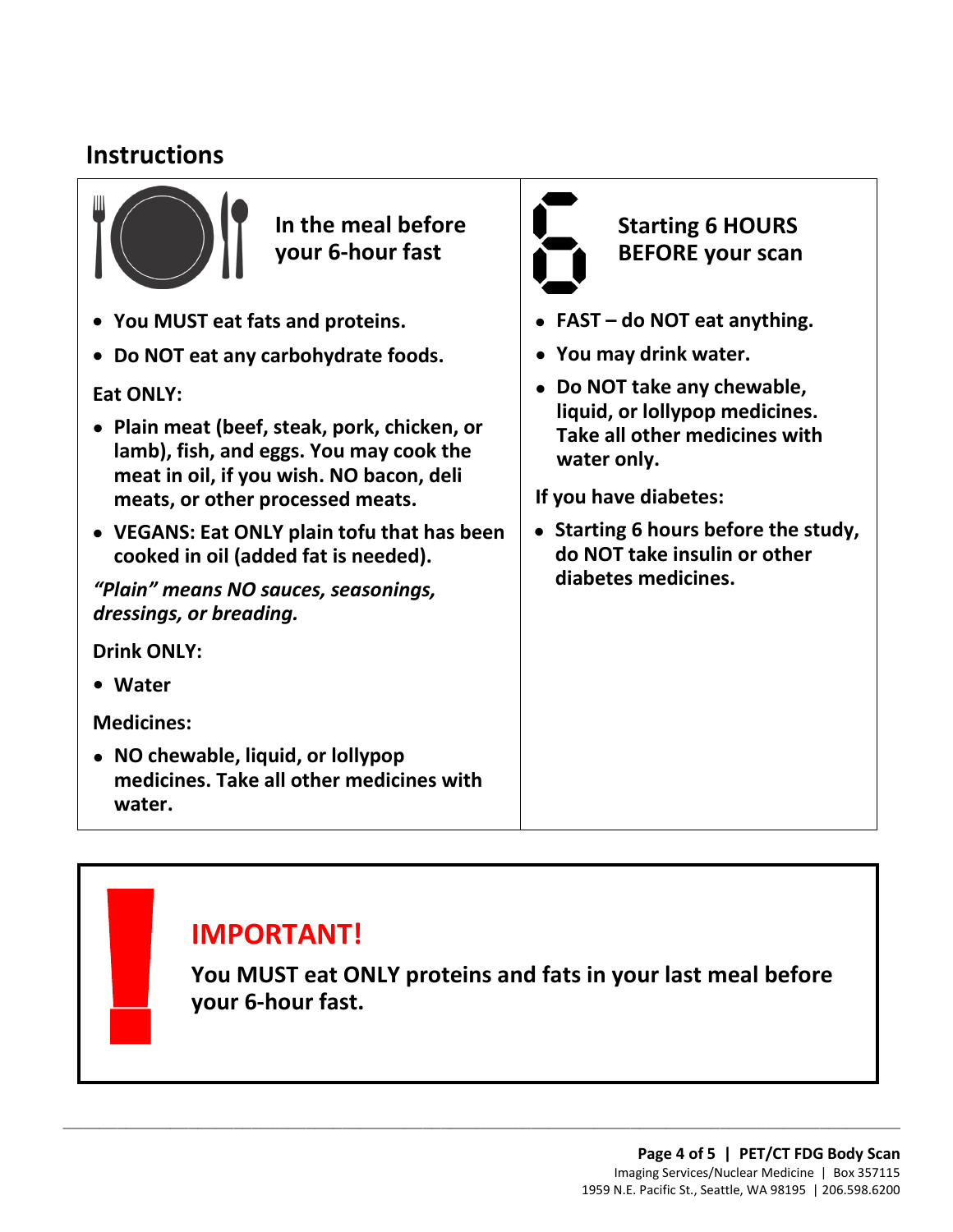## **Instructions**



**In the meal before your 6-hour fast** 

- **You MUST eat fats and proteins.**
- **Do NOT eat any carbohydrate foods.**

**Eat ONLY:** 

- **Plain meat (beef, steak, pork, chicken, or lamb), fish, and eggs. You may cook the meat in oil, if you wish. NO bacon, deli meats, or other processed meats.**
- **VEGANS: Eat ONLY plain tofu that has been cooked in oil (added fat is needed).**

*"Plain" means NO sauces, seasonings, dressings, or breading.* 

**Drink ONLY:** 

**Water •**

**Medicines:** 

• **NO chewable, liquid, or lollypop medicines. Take all other medicines with water.** 



## **Starting 6 HOURS BEFORE your scan**

- **FAST do NOT eat anything.**
- **You may drink water.**
- **Do NOT take any chewable, liquid, or lollypop medicines. Take all other medicines with water only.**

**If you have diabetes:** 

in oil, if you wish. NO bacon, deli<br>
s, or other processed meats.<br>
NS: Eat ONLY plain tofu that has been<br>
ed in oil (added fat is needed).<br>
MIS: Eat ONLY plain tofu that has been<br>
ed in oil (added fat is needed).<br>
means NO • **Starting 6 hours before the study, do NOT take insulin or other diabetes medicines.** 

 **You MUST eat ONLY proteins and fats in your last meal before IMPORTANT!**<br>
You MUST eat ON<br>
your 6-hour fast. **your 6-hour fast.** 

 $\_$  ,  $\_$  ,  $\_$  ,  $\_$  ,  $\_$  ,  $\_$  ,  $\_$  ,  $\_$  ,  $\_$  ,  $\_$  ,  $\_$  ,  $\_$  ,  $\_$  ,  $\_$  ,  $\_$  ,  $\_$  ,  $\_$  ,  $\_$  ,  $\_$  ,  $\_$  ,  $\_$  ,  $\_$  ,  $\_$  ,  $\_$  ,  $\_$  ,  $\_$  ,  $\_$  ,  $\_$  ,  $\_$  ,  $\_$  ,  $\_$  ,  $\_$  ,  $\_$  ,  $\_$  ,  $\_$  ,  $\_$  ,  $\_$  ,